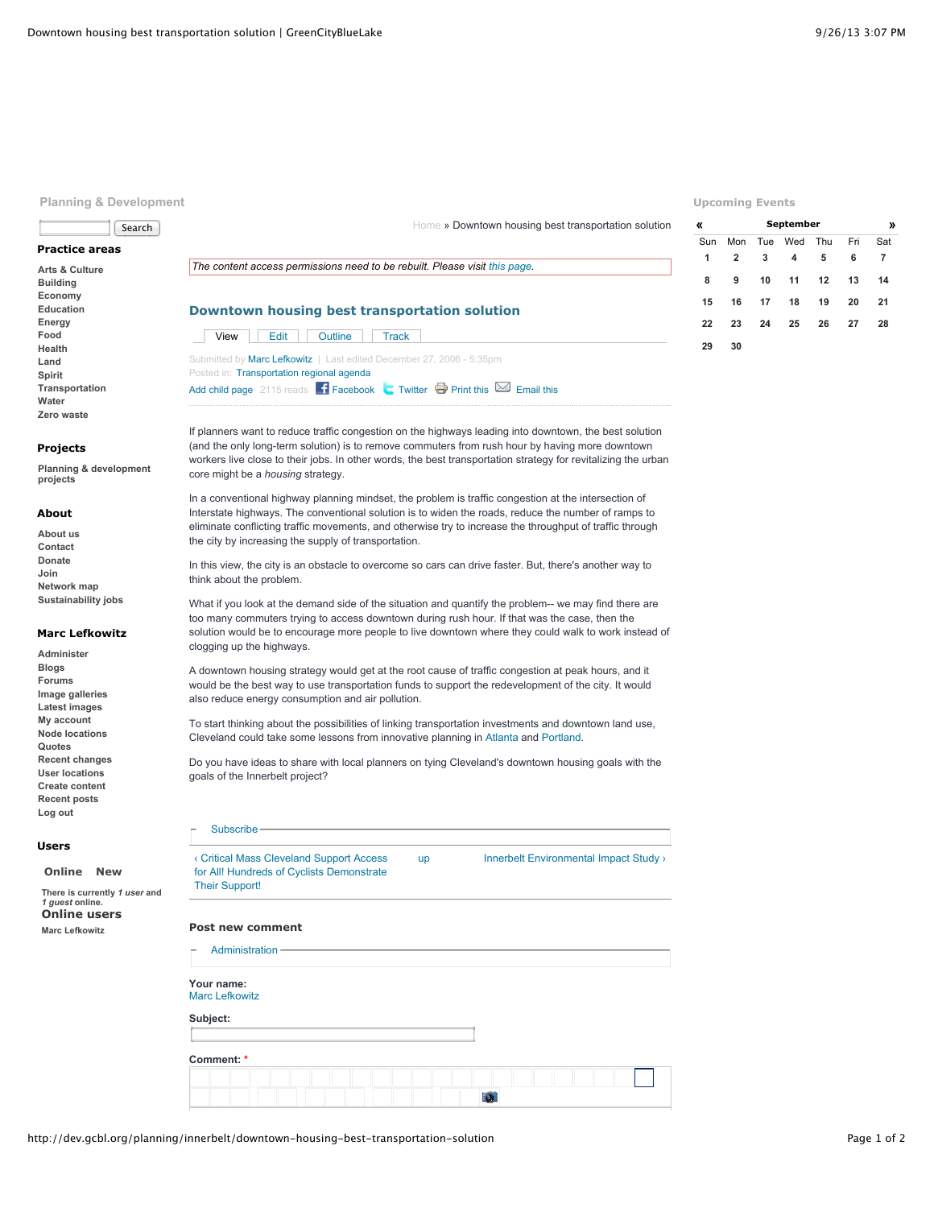Search

**Planning & Development**

**Practice areas [Arts & Culture](http://dev.gcbl.org/arts) [Building](http://dev.gcbl.org/building) [Economy](http://dev.gcbl.org/economy) [Education](http://dev.gcbl.org/education) [Energy](http://dev.gcbl.org/energy) [Food](http://dev.gcbl.org/food) [Health](http://dev.gcbl.org/health) [Land](http://dev.gcbl.org/land) [Spirit](http://dev.gcbl.org/spirit) [Transportation](http://dev.gcbl.org/transportation) [Water](http://dev.gcbl.org/water) [Zero waste](http://dev.gcbl.org/zero-waste)**

**Projects**

**projects**

**About [About us](http://dev.gcbl.org/about) [Contact](http://dev.gcbl.org/contact-us) [Donate](http://dev.gcbl.org/donate) [Join](http://dev.gcbl.org/join) [Network map](http://dev.gcbl.org/the-network) [Sustainability jobs](http://dev.gcbl.org/action-areas/jobs)**

**[Planning & development](http://dev.gcbl.org/planning-development-projects)**

**Marc Lefkowitz [Administer](http://dev.gcbl.org/admin) [Blogs](http://dev.gcbl.org/blog) [Forums](http://dev.gcbl.org/forum) [Image galleries](http://dev.gcbl.org/image) [Latest images](http://dev.gcbl.org/image/recent) [My account](http://dev.gcbl.org/user/marc-lefkowitz) [Node locations](http://dev.gcbl.org/map/node) [Quotes](http://dev.gcbl.org/quotes) [Recent changes](http://dev.gcbl.org/recent_changes) [User locations](http://dev.gcbl.org/map/user) [Create content](http://dev.gcbl.org/node/add) [Recent posts](http://dev.gcbl.org/tracker) [Log out](http://dev.gcbl.org/logout)**

## **Upcoming Events**

**29 30**

**[«](http://dev.gcbl.org/planning/innerbelt/downtown-housing-best-transportation-solution?mini=calendar%2F2013-08) [September](http://dev.gcbl.org/calendar/2013-09) [»](http://dev.gcbl.org/planning/innerbelt/downtown-housing-best-transportation-solution?mini=calendar%2F2013-10)**

Sun Mon Tue Wed Thu Fri Sat **2 3 4 5 6 7 9 10 11 12 13 14 16 17 18 19 20 21 23 24 25 26 27 28**

|      |                                           | The content access permissions need to be rebuilt. Please visit this page. |
|------|-------------------------------------------|----------------------------------------------------------------------------|
|      |                                           |                                                                            |
|      |                                           | Downtown housing best transportation solution                              |
|      |                                           |                                                                            |
| View | Outline<br>Edit                           | Track                                                                      |
|      |                                           | Submitted by Marc Lefkowitz   Last edited December 27, 2006 - 5:35pm       |
|      |                                           |                                                                            |
|      | Posted in: Transportation regional agenda |                                                                            |

If planners want to reduce traffic congestion on the highways leading into downtown, the best solution (and the only long-term solution) is to remove commuters from rush hour by having more downtown workers live close to their jobs. In other words, the best transportation strategy for revitalizing the urban core might be a *housing* strategy.

In a conventional highway planning mindset, the problem is traffic congestion at the intersection of Interstate highways. The conventional solution is to widen the roads, reduce the number of ramps to eliminate conflicting traffic movements, and otherwise try to increase the throughput of traffic through the city by increasing the supply of transportation.

In this view, the city is an obstacle to overcome so cars can drive faster. But, there's another way to think about the problem.

What if you look at the demand side of the situation and quantify the problem-- we may find there are too many commuters trying to access downtown during rush hour. If that was the case, then the solution would be to encourage more people to live downtown where they could walk to work instead of clogging up the highways.

A downtown housing strategy would get at the root cause of traffic congestion at peak hours, and it would be the best way to use transportation funds to support the redevelopment of the city. It would also reduce energy consumption and air pollution.

To start thinking about the possibilities of linking transportation investments and downtown land use, Cleveland could take some lessons from innovative planning in [Atlanta](http://www.epa.gov/projectxl/atlantic/) and [Portland.](http://www.friends.org/resources/lutraq.html)

Do you have ideas to share with local planners on tying Cleveland's downtown housing goals with the goals of the Innerbelt project?

## **[Subscribe](http://dev.gcbl.org/planning/innerbelt/downtown-housing-best-transportation-solution#)**

**[Online](http://dev.gcbl.org/planning/innerbelt/downtown-housing-best-transportation-solution?quicktabs_2=0#quicktabs-2) [New](http://dev.gcbl.org/planning/innerbelt/downtown-housing-best-transportation-solution?quicktabs_2=1#quicktabs-2)**

*1 guest* **online. Online users [Marc Lefkowitz](http://dev.gcbl.org/user/marc-lefkowitz)**

**There is currently** *1 user* **and**

**Users**

[‹ Critical Mass Cleveland Support Access](http://dev.gcbl.org/planning/innerbelt/critical-mass-cleveland-support-access-all-hundreds-cyclists-demonstrate-their-support) for All! Hundreds of Cyclists Demonstrate Their Support!

[up](http://dev.gcbl.org/planning/innerbelt) Innerbelt Environmental Impact Study >

[Home](http://dev.gcbl.org/) » Downtown housing best transportation solution

## **Post new comment**

| Administration-                     |  |  |  |  |  |  |  |  |  |  |
|-------------------------------------|--|--|--|--|--|--|--|--|--|--|
| Your name:<br><b>Marc Lefkowitz</b> |  |  |  |  |  |  |  |  |  |  |
| Subject:                            |  |  |  |  |  |  |  |  |  |  |
| Comment: *                          |  |  |  |  |  |  |  |  |  |  |
|                                     |  |  |  |  |  |  |  |  |  |  |